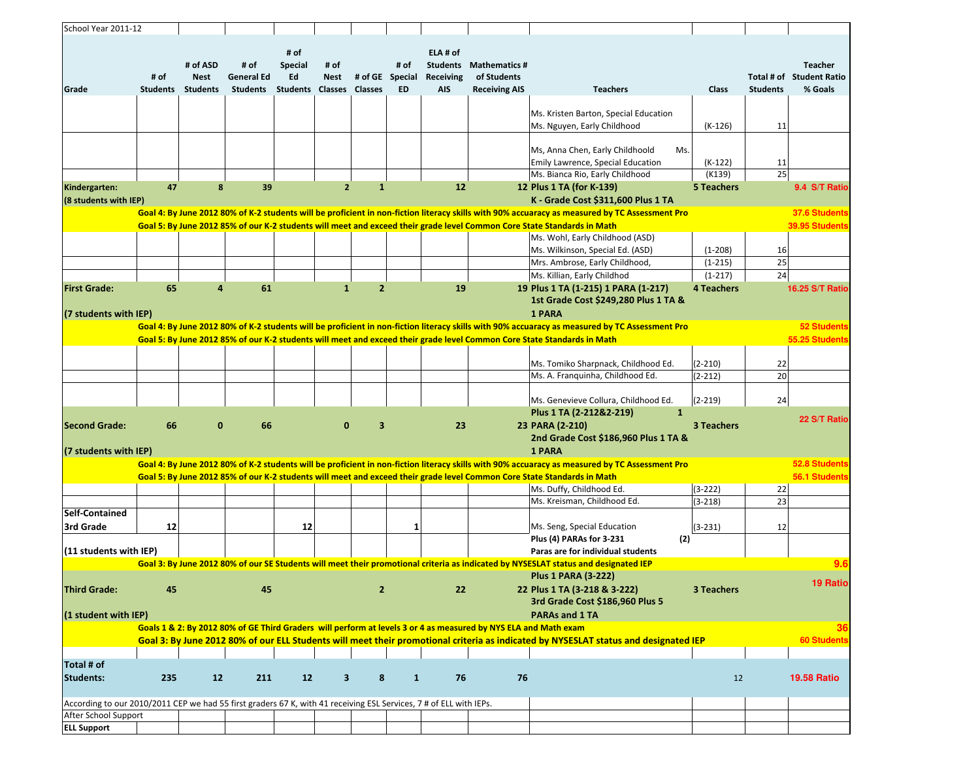| School Year 2011-12                                                                                                                                                  |                         |                                            |                                                                |                              |                     |              |                                      |                                     |                                                                                                                 |                                                                                                                                                |                   |                 |                                                       |
|----------------------------------------------------------------------------------------------------------------------------------------------------------------------|-------------------------|--------------------------------------------|----------------------------------------------------------------|------------------------------|---------------------|--------------|--------------------------------------|-------------------------------------|-----------------------------------------------------------------------------------------------------------------|------------------------------------------------------------------------------------------------------------------------------------------------|-------------------|-----------------|-------------------------------------------------------|
| Grade                                                                                                                                                                | # of<br><b>Students</b> | # of ASD<br><b>Nest</b><br><b>Students</b> | # of<br><b>General Ed</b><br>Students Students Classes Classes | # of<br><b>Special</b><br>Ed | # of<br><b>Nest</b> |              | # of<br># of GE Special<br><b>ED</b> | ELA # of<br>Receiving<br><b>AIS</b> | Students Mathematics #<br>of Students<br><b>Receiving AIS</b>                                                   | <b>Teachers</b>                                                                                                                                | Class             | <b>Students</b> | <b>Teacher</b><br>Total # of Student Ratio<br>% Goals |
|                                                                                                                                                                      |                         |                                            |                                                                |                              |                     |              |                                      |                                     |                                                                                                                 | Ms. Kristen Barton, Special Education<br>Ms. Nguyen, Early Childhood                                                                           | $(K-126)$         | 11              |                                                       |
|                                                                                                                                                                      |                         |                                            |                                                                |                              |                     |              |                                      |                                     |                                                                                                                 | Ms, Anna Chen, Early Childhoold<br>Ms.<br>Emily Lawrence, Special Education                                                                    | $(K-122)$         | 11              |                                                       |
|                                                                                                                                                                      |                         |                                            |                                                                |                              |                     |              |                                      |                                     |                                                                                                                 | Ms. Bianca Rio, Early Childhood                                                                                                                | (K139)            | 25              |                                                       |
| Kindergarten:                                                                                                                                                        | 47                      | 8                                          | 39                                                             |                              | $\overline{2}$      | $\mathbf{1}$ |                                      | 12                                  |                                                                                                                 | 12 Plus 1 TA (for K-139)                                                                                                                       | 5 Teachers        |                 | 9.4 S/T Ratio                                         |
| (8 students with IEP)                                                                                                                                                |                         |                                            |                                                                |                              |                     |              |                                      |                                     |                                                                                                                 | K - Grade Cost \$311,600 Plus 1 TA                                                                                                             |                   |                 |                                                       |
|                                                                                                                                                                      |                         |                                            |                                                                |                              |                     |              |                                      |                                     |                                                                                                                 | Goal 4: By June 2012 80% of K-2 students will be proficient in non-fiction literacy skills with 90% accuaracy as measured by TC Assessment Pro |                   |                 | 37.6 Students                                         |
|                                                                                                                                                                      |                         |                                            |                                                                |                              |                     |              |                                      |                                     |                                                                                                                 | Goal 5: By June 2012 85% of our K-2 students will meet and exceed their grade level Common Core State Standards in Math                        |                   |                 | 39.95 Students                                        |
|                                                                                                                                                                      |                         |                                            |                                                                |                              |                     |              |                                      |                                     |                                                                                                                 | Ms. Wohl, Early Childhood (ASD)                                                                                                                |                   |                 |                                                       |
|                                                                                                                                                                      |                         |                                            |                                                                |                              |                     |              |                                      |                                     |                                                                                                                 | Ms. Wilkinson, Special Ed. (ASD)                                                                                                               | $(1-208)$         | 16              |                                                       |
|                                                                                                                                                                      |                         |                                            |                                                                |                              |                     |              |                                      |                                     |                                                                                                                 | Mrs. Ambrose, Early Childhood,                                                                                                                 | $(1-215)$         | 25              |                                                       |
|                                                                                                                                                                      |                         |                                            |                                                                |                              |                     |              |                                      |                                     |                                                                                                                 | Ms. Killian, Early Childhod                                                                                                                    | $(1-217)$         | 24              |                                                       |
| <b>First Grade:</b><br>(7 students with IEP)                                                                                                                         | 65                      | 4                                          | 61                                                             |                              | $\mathbf{1}$        | $\mathbf{2}$ |                                      | 19                                  |                                                                                                                 | 19 Plus 1 TA (1-215) 1 PARA (1-217)<br>1st Grade Cost \$249,280 Plus 1 TA &<br>1 PARA                                                          | 4 Teachers        |                 | 16.25 S/T Ratio                                       |
|                                                                                                                                                                      |                         |                                            |                                                                |                              |                     |              |                                      |                                     |                                                                                                                 | Goal 4: By June 2012 80% of K-2 students will be proficient in non-fiction literacy skills with 90% accuaracy as measured by TC Assessment Pro |                   |                 | <b>52 Students</b>                                    |
|                                                                                                                                                                      |                         |                                            |                                                                |                              |                     |              |                                      |                                     |                                                                                                                 | Goal 5: By June 2012 85% of our K-2 students will meet and exceed their grade level Common Core State Standards in Math                        |                   |                 | 55.25 Students                                        |
|                                                                                                                                                                      |                         |                                            |                                                                |                              |                     |              |                                      |                                     |                                                                                                                 |                                                                                                                                                |                   |                 |                                                       |
|                                                                                                                                                                      |                         |                                            |                                                                |                              |                     |              |                                      |                                     |                                                                                                                 | Ms. Tomiko Sharpnack, Childhood Ed.                                                                                                            | $(2 - 210)$       | 22              |                                                       |
|                                                                                                                                                                      |                         |                                            |                                                                |                              |                     |              |                                      |                                     |                                                                                                                 | Ms. A. Franquinha, Childhood Ed.                                                                                                               | $(2-212)$         | 20              |                                                       |
|                                                                                                                                                                      |                         |                                            |                                                                |                              |                     |              |                                      |                                     |                                                                                                                 | Ms. Genevieve Collura, Childhood Ed.<br>$\mathbf{1}$<br>Plus 1 TA (2-212&2-219)                                                                | $(2-219)$         | 24              |                                                       |
| <b>Second Grade:</b>                                                                                                                                                 | 66                      | $\bf{0}$                                   | 66                                                             |                              | 0                   | 3            |                                      | 23                                  |                                                                                                                 | 23 PARA (2-210)<br>2nd Grade Cost \$186,960 Plus 1 TA &                                                                                        | 3 Teachers        |                 | 22 S/T Ratio                                          |
| (7 students with IEP)                                                                                                                                                |                         |                                            |                                                                |                              |                     |              |                                      |                                     |                                                                                                                 | 1 PARA                                                                                                                                         |                   |                 |                                                       |
|                                                                                                                                                                      |                         |                                            |                                                                |                              |                     |              |                                      |                                     |                                                                                                                 | Goal 4: By June 2012 80% of K-2 students will be proficient in non-fiction literacy skills with 90% accuaracy as measured by TC Assessment Pro |                   |                 | 52.8 Students                                         |
|                                                                                                                                                                      |                         |                                            |                                                                |                              |                     |              |                                      |                                     |                                                                                                                 | Goal 5: By June 2012 85% of our K-2 students will meet and exceed their grade level Common Core State Standards in Math                        |                   |                 | 56.1 Students                                         |
|                                                                                                                                                                      |                         |                                            |                                                                |                              |                     |              |                                      |                                     |                                                                                                                 | Ms. Duffy, Childhood Ed.                                                                                                                       | $(3-222)$         | 22              |                                                       |
|                                                                                                                                                                      |                         |                                            |                                                                |                              |                     |              |                                      |                                     |                                                                                                                 | Ms. Kreisman, Childhood Ed.                                                                                                                    | $(3-218)$         | 23              |                                                       |
| <b>Self-Contained</b><br>3rd Grade                                                                                                                                   | 12                      |                                            |                                                                | 12                           |                     |              | 1                                    |                                     |                                                                                                                 | Ms. Seng, Special Education                                                                                                                    | $(3-231)$         | 12              |                                                       |
|                                                                                                                                                                      |                         |                                            |                                                                |                              |                     |              |                                      |                                     |                                                                                                                 | (2)<br>Plus (4) PARAs for 3-231<br>Paras are for individual students                                                                           |                   |                 |                                                       |
| (11 students with IEP)<br>Goal 3: By June 2012 80% of our SE Students will meet their promotional criteria as indicated by NYSESLAT status and designated IEP<br>9.6 |                         |                                            |                                                                |                              |                     |              |                                      |                                     |                                                                                                                 |                                                                                                                                                |                   |                 |                                                       |
|                                                                                                                                                                      |                         |                                            |                                                                |                              |                     |              |                                      |                                     |                                                                                                                 | Plus 1 PARA (3-222)                                                                                                                            |                   |                 |                                                       |
| <b>Third Grade:</b>                                                                                                                                                  | 45                      |                                            | 45                                                             |                              |                     | $\mathbf{2}$ |                                      | 22                                  |                                                                                                                 | 22 Plus 1 TA (3-218 & 3-222)<br>3rd Grade Cost \$186,960 Plus 5                                                                                | <b>3 Teachers</b> |                 | 19 Ratio                                              |
| (1 student with IEP)                                                                                                                                                 |                         |                                            |                                                                |                              |                     |              |                                      |                                     |                                                                                                                 | <b>PARAs and 1 TA</b>                                                                                                                          |                   |                 |                                                       |
|                                                                                                                                                                      |                         |                                            |                                                                |                              |                     |              |                                      |                                     | Goals 1 & 2: By 2012 80% of GE Third Graders will perform at levels 3 or 4 as measured by NYS ELA and Math exam | Goal 3: By June 2012 80% of our ELL Students will meet their promotional criteria as indicated by NYSESLAT status and designated IEP           |                   |                 | 36<br><b>60 Students</b>                              |
|                                                                                                                                                                      |                         |                                            |                                                                |                              |                     |              |                                      |                                     |                                                                                                                 |                                                                                                                                                |                   |                 |                                                       |
| Total # of<br><b>Students:</b>                                                                                                                                       | 235                     | 12                                         | 211                                                            | 12                           | 3                   | 8            | 1                                    | 76                                  | 76                                                                                                              |                                                                                                                                                | 12                |                 | <b>19.58 Ratio</b>                                    |
| According to our 2010/2011 CEP we had 55 first graders 67 K, with 41 receiving ESL Services, 7 # of ELL with IEPs.                                                   |                         |                                            |                                                                |                              |                     |              |                                      |                                     |                                                                                                                 |                                                                                                                                                |                   |                 |                                                       |
| After School Support                                                                                                                                                 |                         |                                            |                                                                |                              |                     |              |                                      |                                     |                                                                                                                 |                                                                                                                                                |                   |                 |                                                       |
| <b>ELL Support</b>                                                                                                                                                   |                         |                                            |                                                                |                              |                     |              |                                      |                                     |                                                                                                                 |                                                                                                                                                |                   |                 |                                                       |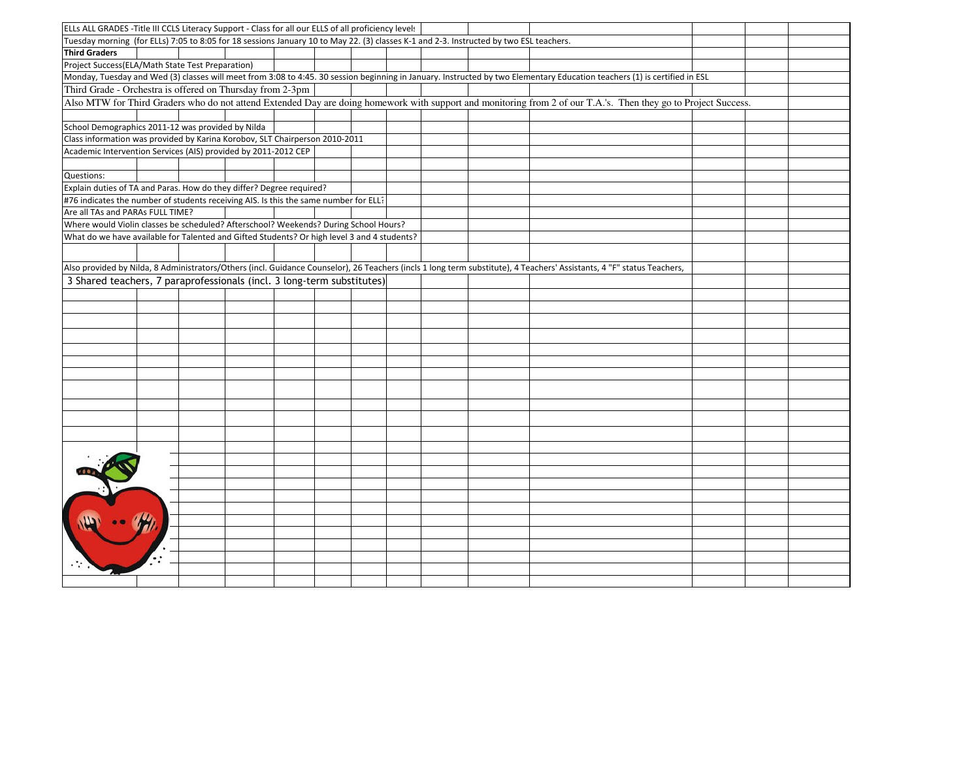|                                                                                                                                               | ELLs ALL GRADES -Title III CCLS Literacy Support - Class for all our ELLS of all proficiency levels                                    |  |  |  |  |  |  |                                                                                                                                                                           |  |
|-----------------------------------------------------------------------------------------------------------------------------------------------|----------------------------------------------------------------------------------------------------------------------------------------|--|--|--|--|--|--|---------------------------------------------------------------------------------------------------------------------------------------------------------------------------|--|
|                                                                                                                                               | Tuesday morning (for ELLs) 7:05 to 8:05 for 18 sessions January 10 to May 22. (3) classes K-1 and 2-3. Instructed by two ESL teachers. |  |  |  |  |  |  |                                                                                                                                                                           |  |
| <b>Third Graders</b>                                                                                                                          |                                                                                                                                        |  |  |  |  |  |  |                                                                                                                                                                           |  |
|                                                                                                                                               | Project Success(ELA/Math State Test Preparation)                                                                                       |  |  |  |  |  |  |                                                                                                                                                                           |  |
|                                                                                                                                               |                                                                                                                                        |  |  |  |  |  |  | Monday, Tuesday and Wed (3) classes will meet from 3:08 to 4:45. 30 session beginning in January. Instructed by two Elementary Education teachers (1) is certified in ESL |  |
|                                                                                                                                               | Third Grade - Orchestra is offered on Thursday from 2-3pm                                                                              |  |  |  |  |  |  |                                                                                                                                                                           |  |
|                                                                                                                                               |                                                                                                                                        |  |  |  |  |  |  | Also MTW for Third Graders who do not attend Extended Day are doing homework with support and monitoring from 2 of our T.A.'s. Then they go to Project Success.           |  |
|                                                                                                                                               |                                                                                                                                        |  |  |  |  |  |  |                                                                                                                                                                           |  |
|                                                                                                                                               |                                                                                                                                        |  |  |  |  |  |  |                                                                                                                                                                           |  |
| School Demographics 2011-12 was provided by Nilda                                                                                             |                                                                                                                                        |  |  |  |  |  |  |                                                                                                                                                                           |  |
| Class information was provided by Karina Korobov, SLT Chairperson 2010-2011<br>Academic Intervention Services (AIS) provided by 2011-2012 CEP |                                                                                                                                        |  |  |  |  |  |  |                                                                                                                                                                           |  |
|                                                                                                                                               |                                                                                                                                        |  |  |  |  |  |  |                                                                                                                                                                           |  |
|                                                                                                                                               |                                                                                                                                        |  |  |  |  |  |  |                                                                                                                                                                           |  |
| Questions:                                                                                                                                    |                                                                                                                                        |  |  |  |  |  |  |                                                                                                                                                                           |  |
|                                                                                                                                               | Explain duties of TA and Paras. How do they differ? Degree required?                                                                   |  |  |  |  |  |  |                                                                                                                                                                           |  |
|                                                                                                                                               | #76 indicates the number of students receiving AIS. Is this the same number for ELL?                                                   |  |  |  |  |  |  |                                                                                                                                                                           |  |
| Are all TAs and PARAs FULL TIME?                                                                                                              |                                                                                                                                        |  |  |  |  |  |  |                                                                                                                                                                           |  |
|                                                                                                                                               | Where would Violin classes be scheduled? Afterschool? Weekends? During School Hours?                                                   |  |  |  |  |  |  |                                                                                                                                                                           |  |
|                                                                                                                                               | What do we have available for Talented and Gifted Students? Or high level 3 and 4 students?                                            |  |  |  |  |  |  |                                                                                                                                                                           |  |
|                                                                                                                                               |                                                                                                                                        |  |  |  |  |  |  |                                                                                                                                                                           |  |
|                                                                                                                                               |                                                                                                                                        |  |  |  |  |  |  | Also provided by Nilda, 8 Administrators/Others (incl. Guidance Counselor), 26 Teachers (incls 1 long term substitute), 4 Teachers' Assistants, 4 "F" status Teachers,    |  |
|                                                                                                                                               | 3 Shared teachers, 7 paraprofessionals (incl. 3 long-term substitutes)                                                                 |  |  |  |  |  |  |                                                                                                                                                                           |  |
|                                                                                                                                               |                                                                                                                                        |  |  |  |  |  |  |                                                                                                                                                                           |  |
|                                                                                                                                               |                                                                                                                                        |  |  |  |  |  |  |                                                                                                                                                                           |  |
|                                                                                                                                               |                                                                                                                                        |  |  |  |  |  |  |                                                                                                                                                                           |  |
|                                                                                                                                               |                                                                                                                                        |  |  |  |  |  |  |                                                                                                                                                                           |  |
|                                                                                                                                               |                                                                                                                                        |  |  |  |  |  |  |                                                                                                                                                                           |  |
|                                                                                                                                               |                                                                                                                                        |  |  |  |  |  |  |                                                                                                                                                                           |  |
|                                                                                                                                               |                                                                                                                                        |  |  |  |  |  |  |                                                                                                                                                                           |  |
|                                                                                                                                               |                                                                                                                                        |  |  |  |  |  |  |                                                                                                                                                                           |  |
|                                                                                                                                               |                                                                                                                                        |  |  |  |  |  |  |                                                                                                                                                                           |  |
|                                                                                                                                               |                                                                                                                                        |  |  |  |  |  |  |                                                                                                                                                                           |  |
|                                                                                                                                               |                                                                                                                                        |  |  |  |  |  |  |                                                                                                                                                                           |  |
|                                                                                                                                               |                                                                                                                                        |  |  |  |  |  |  |                                                                                                                                                                           |  |
|                                                                                                                                               |                                                                                                                                        |  |  |  |  |  |  |                                                                                                                                                                           |  |
|                                                                                                                                               |                                                                                                                                        |  |  |  |  |  |  |                                                                                                                                                                           |  |
|                                                                                                                                               |                                                                                                                                        |  |  |  |  |  |  |                                                                                                                                                                           |  |
|                                                                                                                                               |                                                                                                                                        |  |  |  |  |  |  |                                                                                                                                                                           |  |
|                                                                                                                                               |                                                                                                                                        |  |  |  |  |  |  |                                                                                                                                                                           |  |
|                                                                                                                                               |                                                                                                                                        |  |  |  |  |  |  |                                                                                                                                                                           |  |
|                                                                                                                                               |                                                                                                                                        |  |  |  |  |  |  |                                                                                                                                                                           |  |
|                                                                                                                                               |                                                                                                                                        |  |  |  |  |  |  |                                                                                                                                                                           |  |
|                                                                                                                                               |                                                                                                                                        |  |  |  |  |  |  |                                                                                                                                                                           |  |
|                                                                                                                                               |                                                                                                                                        |  |  |  |  |  |  |                                                                                                                                                                           |  |
|                                                                                                                                               |                                                                                                                                        |  |  |  |  |  |  |                                                                                                                                                                           |  |
|                                                                                                                                               |                                                                                                                                        |  |  |  |  |  |  |                                                                                                                                                                           |  |
|                                                                                                                                               |                                                                                                                                        |  |  |  |  |  |  |                                                                                                                                                                           |  |
|                                                                                                                                               |                                                                                                                                        |  |  |  |  |  |  |                                                                                                                                                                           |  |